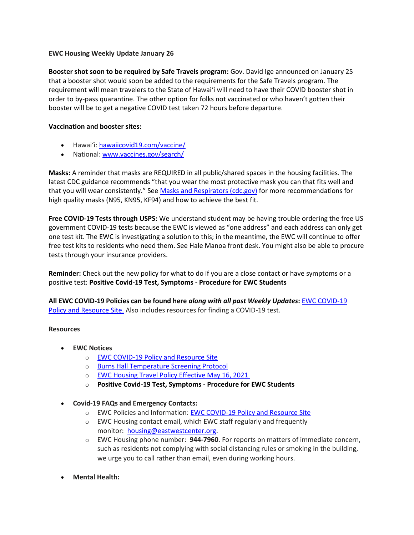# **EWC Housing Weekly Update January 26**

**Booster shot soon to be required by Safe Travels program:** Gov. David Ige announced on January 25 that a booster shot would soon be added to the requirements for the Safe Travels program. The requirement will mean travelers to the State of Hawai'i will need to have their COVID booster shot in order to by-pass quarantine. The other option for folks not vaccinated or who haven't gotten their booster will be to get a negative COVID test taken 72 hours before departure.

# **Vaccination and booster sites:**

- Hawaiʻi: [hawaiicovid19.com/vaccine/](https://hawaiicovid19.com/vaccine/)
- National[: www.vaccines.gov/search/](https://urldefense.proofpoint.com/v2/url?u=https-3A__www.vaccines.gov_search_&d=DwMFaQ&c=euGZstcaTDllvimEN8b7jXrwqOf-v5A_CdpgnVfiiMM&r=sjCoHaVUe8_a1MXsziR411ri4sB3BX3q50L3el6sXMQ&m=jJKlFuycAuvHHGsAQqxoXWkYgCTOIXTSyRz4tYDcXKA&s=3V1NDVDkv_eluut6Ry1t5pPwwKNfl-lKO_scuS5yaY4&e=)

**Masks:** A reminder that masks are REQUIRED in all public/shared spaces in the housing facilities. The latest CDC guidance recommends "that you wear the most protective mask you can that fits well and that you will wear consistently." See [Masks and Respirators \(cdc.gov\)](https://urldefense.proofpoint.com/v2/url?u=https-3A__www.cdc.gov_coronavirus_2019-2Dncov_prevent-2Dgetting-2Dsick_types-2Dof-2Dmasks.html&d=DwMFaQ&c=euGZstcaTDllvimEN8b7jXrwqOf-v5A_CdpgnVfiiMM&r=sjCoHaVUe8_a1MXsziR411ri4sB3BX3q50L3el6sXMQ&m=jJKlFuycAuvHHGsAQqxoXWkYgCTOIXTSyRz4tYDcXKA&s=x_W2VHxLVRrojpwbaDjGFwjzspJjIzYnNPST_-w_rak&e=) for more recommendations for high quality masks (N95, KN95, KF94) and how to achieve the best fit.

**Free COVID-19 Tests through USPS:** We understand student may be having trouble ordering the free US government COVID-19 tests because the EWC is viewed as "one address" and each address can only get one test kit. The EWC is investigating a solution to this; in the meantime, the EWC will continue to offer free test kits to residents who need them. See Hale Manoa front desk. You might also be able to procure tests through your insurance providers.

**Reminder:** Check out the new policy for what to do if you are a close contact or have symptoms or a positive test: **Positive Covid-19 [Test, Symptoms](https://urldefense.proofpoint.com/v2/url?u=https-3A__bit.ly_covid19-2Dpositive-2Dtest-2Dsymptoms-2Dprocedure&d=DwMFaQ&c=euGZstcaTDllvimEN8b7jXrwqOf-v5A_CdpgnVfiiMM&r=3FPQcXK5sxYRrGCCxQc5PNSb-_SuaL_bSgfyHLgu3XI&m=DFa_g2AmhabelwvrqHcTxuYqCMz5HzQYOl-ITmKQUfY&s=Ns9Saa_zMPCYCiGvJfcFRdWu8IRNYEtWuYyXAb_X5DY&e=) - Procedure for EWC Students**

**All EWC COVID-19 Policies can be found here** *along with all past Weekly Updates***:** [EWC COVID-19](https://urldefense.proofpoint.com/v2/url?u=https-3A__ewcparticipantinfo.org_covid-2D19_&d=DwMFaQ&c=euGZstcaTDllvimEN8b7jXrwqOf-v5A_CdpgnVfiiMM&r=3FPQcXK5sxYRrGCCxQc5PNSb-_SuaL_bSgfyHLgu3XI&m=NeEuRGBZcB6XdPpyhoUn4swvNjBnveDWGZ1brp8cIwI&s=psWXjZhChjGDJkHaOVt2bwTJxxk1NVhXgu70sXTpbpE&e=)  [Policy and Resource Site.](https://urldefense.proofpoint.com/v2/url?u=https-3A__ewcparticipantinfo.org_covid-2D19_&d=DwMFaQ&c=euGZstcaTDllvimEN8b7jXrwqOf-v5A_CdpgnVfiiMM&r=3FPQcXK5sxYRrGCCxQc5PNSb-_SuaL_bSgfyHLgu3XI&m=NeEuRGBZcB6XdPpyhoUn4swvNjBnveDWGZ1brp8cIwI&s=psWXjZhChjGDJkHaOVt2bwTJxxk1NVhXgu70sXTpbpE&e=) Also includes resources for finding a COVID-19 test.

### **Resources**

- **EWC Notices**
	- o [EWC COVID-19 Policy and Resource Site](https://urldefense.proofpoint.com/v2/url?u=https-3A__ewcparticipantinfo.org_covid-2D19_&d=DwMFaQ&c=euGZstcaTDllvimEN8b7jXrwqOf-v5A_CdpgnVfiiMM&r=3FPQcXK5sxYRrGCCxQc5PNSb-_SuaL_bSgfyHLgu3XI&m=NeEuRGBZcB6XdPpyhoUn4swvNjBnveDWGZ1brp8cIwI&s=psWXjZhChjGDJkHaOVt2bwTJxxk1NVhXgu70sXTpbpE&e=)
	- o [Burns Hall Temperature Screening Protocol](https://urldefense.proofpoint.com/v2/url?u=https-3A__bit.ly_covid19-2Dtemperature-2Dscreening-2Dprotocol&d=DwMFaQ&c=euGZstcaTDllvimEN8b7jXrwqOf-v5A_CdpgnVfiiMM&r=3FPQcXK5sxYRrGCCxQc5PNSb-_SuaL_bSgfyHLgu3XI&m=DFa_g2AmhabelwvrqHcTxuYqCMz5HzQYOl-ITmKQUfY&s=MwBIPkp2_uF9q_VAPbRPkC7xZiUvs6Zt0tlqGyH_EX4&e=)
	- o [EWC Housing Travel Policy](https://urldefense.proofpoint.com/v2/url?u=https-3A__content.getrave.com_content_5958154_bac55f3b-2Ddebb-2D4839-2Db482-2D3e2c49b4bbf2_9dbf27df-2D5024-2D4b5c-2Dafca-2Ddd05a873a2d4_NEW-5FRevised-5FSummer-5FPolicy.pdf&d=DwMFaQ&c=euGZstcaTDllvimEN8b7jXrwqOf-v5A_CdpgnVfiiMM&r=sjCoHaVUe8_a1MXsziR411ri4sB3BX3q50L3el6sXMQ&m=jJKlFuycAuvHHGsAQqxoXWkYgCTOIXTSyRz4tYDcXKA&s=ZeX0GvG7noe6jfjLo1cI9Hx92OOwFM_Q5xTUSl-8R4A&e=) Effective May 16, 2021
	- o **Positive Covid-19 [Test, Symptoms](https://urldefense.proofpoint.com/v2/url?u=https-3A__bit.ly_covid19-2Dpositive-2Dtest-2Dsymptoms-2Dprocedure&d=DwMFaQ&c=euGZstcaTDllvimEN8b7jXrwqOf-v5A_CdpgnVfiiMM&r=3FPQcXK5sxYRrGCCxQc5PNSb-_SuaL_bSgfyHLgu3XI&m=DFa_g2AmhabelwvrqHcTxuYqCMz5HzQYOl-ITmKQUfY&s=Ns9Saa_zMPCYCiGvJfcFRdWu8IRNYEtWuYyXAb_X5DY&e=) - Procedure for EWC Students**
- **Covid-19 FAQs and Emergency Contacts:**
	- o EWC Policies and Information: EWC COVID-19 Policy and Resource Site
	- o EWC Housing contact email, which EWC staff regularly and frequently monitor: [housing@eastwestcenter.org.](mailto:housing@eastwestcenter.org)
	- o EWC Housing phone number: **944-7960**. For reports on matters of immediate concern, such as residents not complying with social distancing rules or smoking in the building, we urge you to call rather than email, even during working hours.
- **Mental Health:**